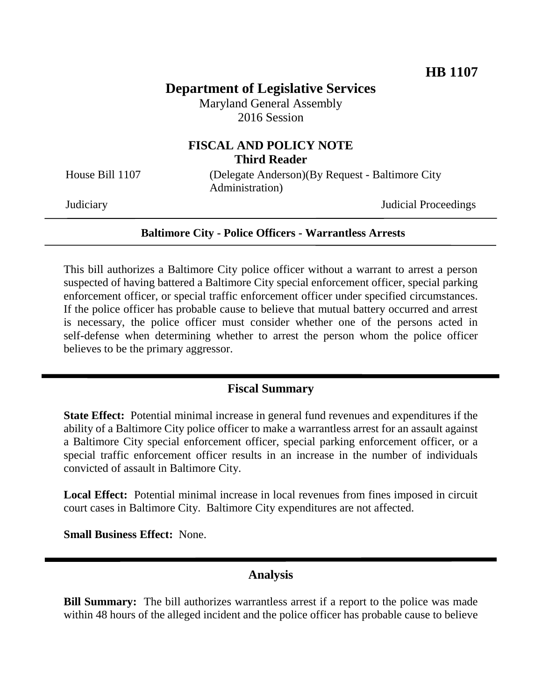# **Department of Legislative Services**

Maryland General Assembly 2016 Session

# **FISCAL AND POLICY NOTE Third Reader**

House Bill 1107 (Delegate Anderson)(By Request - Baltimore City Administration)

Judiciary Judicial Proceedings

#### **Baltimore City - Police Officers - Warrantless Arrests**

This bill authorizes a Baltimore City police officer without a warrant to arrest a person suspected of having battered a Baltimore City special enforcement officer, special parking enforcement officer, or special traffic enforcement officer under specified circumstances. If the police officer has probable cause to believe that mutual battery occurred and arrest is necessary, the police officer must consider whether one of the persons acted in self-defense when determining whether to arrest the person whom the police officer believes to be the primary aggressor.

### **Fiscal Summary**

**State Effect:** Potential minimal increase in general fund revenues and expenditures if the ability of a Baltimore City police officer to make a warrantless arrest for an assault against a Baltimore City special enforcement officer, special parking enforcement officer, or a special traffic enforcement officer results in an increase in the number of individuals convicted of assault in Baltimore City.

**Local Effect:** Potential minimal increase in local revenues from fines imposed in circuit court cases in Baltimore City. Baltimore City expenditures are not affected.

**Small Business Effect:** None.

#### **Analysis**

**Bill Summary:** The bill authorizes warrantless arrest if a report to the police was made within 48 hours of the alleged incident and the police officer has probable cause to believe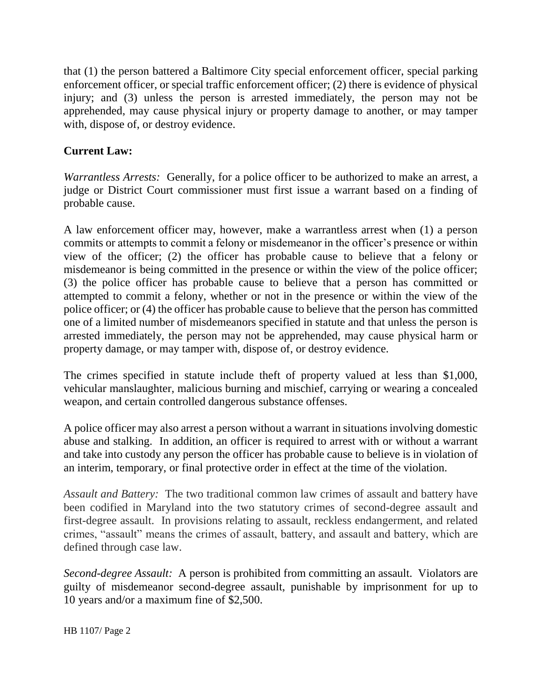that (1) the person battered a Baltimore City special enforcement officer, special parking enforcement officer, or special traffic enforcement officer; (2) there is evidence of physical injury; and (3) unless the person is arrested immediately, the person may not be apprehended, may cause physical injury or property damage to another, or may tamper with, dispose of, or destroy evidence.

#### **Current Law:**

*Warrantless Arrests:* Generally, for a police officer to be authorized to make an arrest, a judge or District Court commissioner must first issue a warrant based on a finding of probable cause.

A law enforcement officer may, however, make a warrantless arrest when (1) a person commits or attempts to commit a felony or misdemeanor in the officer's presence or within view of the officer; (2) the officer has probable cause to believe that a felony or misdemeanor is being committed in the presence or within the view of the police officer; (3) the police officer has probable cause to believe that a person has committed or attempted to commit a felony, whether or not in the presence or within the view of the police officer; or (4) the officer has probable cause to believe that the person has committed one of a limited number of misdemeanors specified in statute and that unless the person is arrested immediately, the person may not be apprehended, may cause physical harm or property damage, or may tamper with, dispose of, or destroy evidence.

The crimes specified in statute include theft of property valued at less than \$1,000, vehicular manslaughter, malicious burning and mischief, carrying or wearing a concealed weapon, and certain controlled dangerous substance offenses.

A police officer may also arrest a person without a warrant in situations involving domestic abuse and stalking. In addition, an officer is required to arrest with or without a warrant and take into custody any person the officer has probable cause to believe is in violation of an interim, temporary, or final protective order in effect at the time of the violation.

*Assault and Battery:* The two traditional common law crimes of assault and battery have been codified in Maryland into the two statutory crimes of second-degree assault and first-degree assault. In provisions relating to assault, reckless endangerment, and related crimes, "assault" means the crimes of assault, battery, and assault and battery, which are defined through case law.

*Second-degree Assault:* A person is prohibited from committing an assault. Violators are guilty of misdemeanor second-degree assault, punishable by imprisonment for up to 10 years and/or a maximum fine of \$2,500.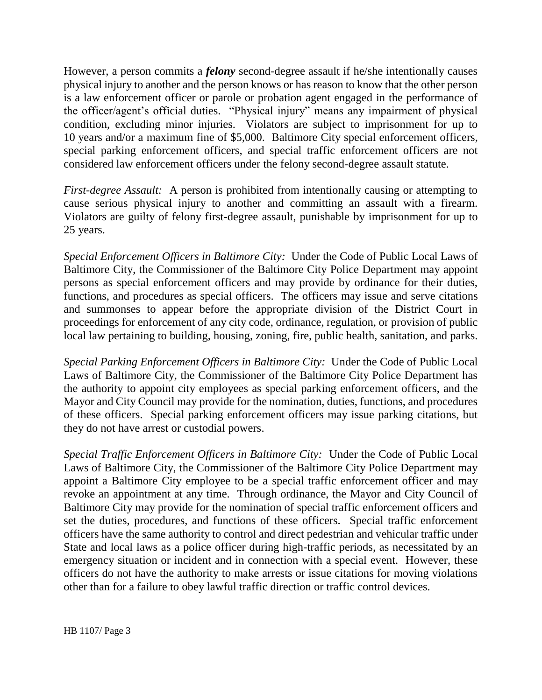However, a person commits a *felony* second-degree assault if he/she intentionally causes physical injury to another and the person knows or has reason to know that the other person is a law enforcement officer or parole or probation agent engaged in the performance of the officer/agent's official duties. "Physical injury" means any impairment of physical condition, excluding minor injuries. Violators are subject to imprisonment for up to 10 years and/or a maximum fine of \$5,000. Baltimore City special enforcement officers, special parking enforcement officers, and special traffic enforcement officers are not considered law enforcement officers under the felony second-degree assault statute.

*First-degree Assault:* A person is prohibited from intentionally causing or attempting to cause serious physical injury to another and committing an assault with a firearm. Violators are guilty of felony first-degree assault, punishable by imprisonment for up to 25 years.

*Special Enforcement Officers in Baltimore City:* Under the Code of Public Local Laws of Baltimore City, the Commissioner of the Baltimore City Police Department may appoint persons as special enforcement officers and may provide by ordinance for their duties, functions, and procedures as special officers. The officers may issue and serve citations and summonses to appear before the appropriate division of the District Court in proceedings for enforcement of any city code, ordinance, regulation, or provision of public local law pertaining to building, housing, zoning, fire, public health, sanitation, and parks.

*Special Parking Enforcement Officers in Baltimore City:* Under the Code of Public Local Laws of Baltimore City, the Commissioner of the Baltimore City Police Department has the authority to appoint city employees as special parking enforcement officers, and the Mayor and City Council may provide for the nomination, duties, functions, and procedures of these officers. Special parking enforcement officers may issue parking citations, but they do not have arrest or custodial powers.

*Special Traffic Enforcement Officers in Baltimore City:* Under the Code of Public Local Laws of Baltimore City, the Commissioner of the Baltimore City Police Department may appoint a Baltimore City employee to be a special traffic enforcement officer and may revoke an appointment at any time. Through ordinance, the Mayor and City Council of Baltimore City may provide for the nomination of special traffic enforcement officers and set the duties, procedures, and functions of these officers. Special traffic enforcement officers have the same authority to control and direct pedestrian and vehicular traffic under State and local laws as a police officer during high-traffic periods, as necessitated by an emergency situation or incident and in connection with a special event. However, these officers do not have the authority to make arrests or issue citations for moving violations other than for a failure to obey lawful traffic direction or traffic control devices.